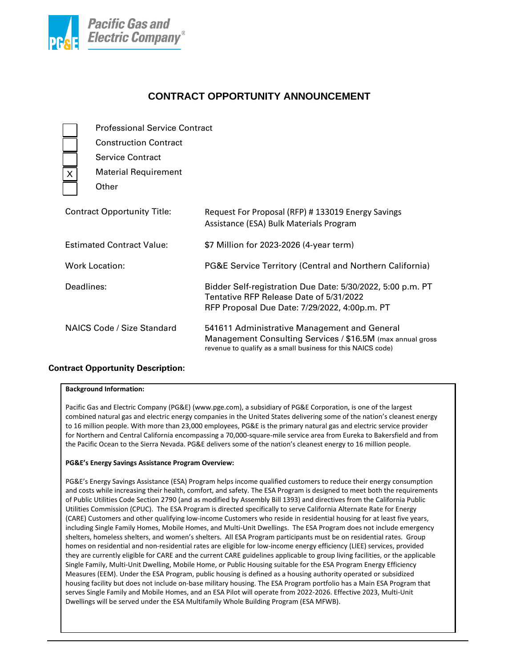

# **CONTRACT OPPORTUNITY ANNOUNCEMENT**

|                                    |  | <b>Professional Service Contract</b> |                                                                                                                                                                           |  |
|------------------------------------|--|--------------------------------------|---------------------------------------------------------------------------------------------------------------------------------------------------------------------------|--|
|                                    |  | <b>Construction Contract</b>         |                                                                                                                                                                           |  |
|                                    |  | <b>Service Contract</b>              |                                                                                                                                                                           |  |
| Χ                                  |  | <b>Material Requirement</b>          |                                                                                                                                                                           |  |
|                                    |  | Other                                |                                                                                                                                                                           |  |
| <b>Contract Opportunity Title:</b> |  |                                      | Request For Proposal (RFP) # 133019 Energy Savings<br>Assistance (ESA) Bulk Materials Program                                                                             |  |
| <b>Estimated Contract Value:</b>   |  |                                      | \$7 Million for 2023-2026 (4-year term)                                                                                                                                   |  |
| <b>Work Location:</b>              |  |                                      | PG&E Service Territory (Central and Northern California)                                                                                                                  |  |
| Deadlines:                         |  |                                      | Bidder Self-registration Due Date: 5/30/2022, 5:00 p.m. PT<br>Tentative RFP Release Date of 5/31/2022<br>RFP Proposal Due Date: 7/29/2022, 4:00p.m. PT                    |  |
| NAICS Code / Size Standard         |  |                                      | 541611 Administrative Management and General<br>Management Consulting Services / \$16.5M (max annual gross<br>revenue to qualify as a small business for this NAICS code) |  |

# **Contract Opportunity Description:**

## **Background Information:**

Pacific Gas and Electric Company (PG&E) (www.pge.com), a subsidiary of PG&E Corporation, is one of the largest combined natural gas and electric energy companies in the United States delivering some of the nation's cleanest energy to 16 million people. With more than 23,000 employees, PG&E is the primary natural gas and electric service provider for Northern and Central California encompassing a 70,000-square-mile service area from Eureka to Bakersfield and from the Pacific Ocean to the Sierra Nevada. PG&E delivers some of the nation's cleanest energy to 16 million people.

# **PG&E's Energy Savings Assistance Program Overview:**

PG&E's Energy Savings Assistance (ESA) Program helps income qualified customers to reduce their energy consumption and costs while increasing their health, comfort, and safety. The ESA Program is designed to meet both the requirements of Public Utilities Code Section 2790 (and as modified by Assembly Bill 1393) and directives from the California Public Utilities Commission (CPUC). The ESA Program is directed specifically to serve California Alternate Rate for Energy (CARE) Customers and other qualifying low-income Customers who reside in residential housing for at least five years, including Single Family Homes, Mobile Homes, and Multi-Unit Dwellings. The ESA Program does not include emergency shelters, homeless shelters, and women's shelters. All ESA Program participants must be on residential rates. Group homes on residential and non-residential rates are eligible for low-income energy efficiency (LIEE) services, provided they are currently eligible for CARE and the current CARE guidelines applicable to group living facilities, or the applicable Single Family, Multi-Unit Dwelling, Mobile Home, or Public Housing suitable for the ESA Program Energy Efficiency Measures (EEM). Under the ESA Program, public housing is defined as a housing authority operated or subsidized housing facility but does not include on-base military housing. The ESA Program portfolio has a Main ESA Program that serves Single Family and Mobile Homes, and an ESA Pilot will operate from 2022-2026. Effective 2023, Multi-Unit Dwellings will be served under the ESA Multifamily Whole Building Program (ESA MFWB).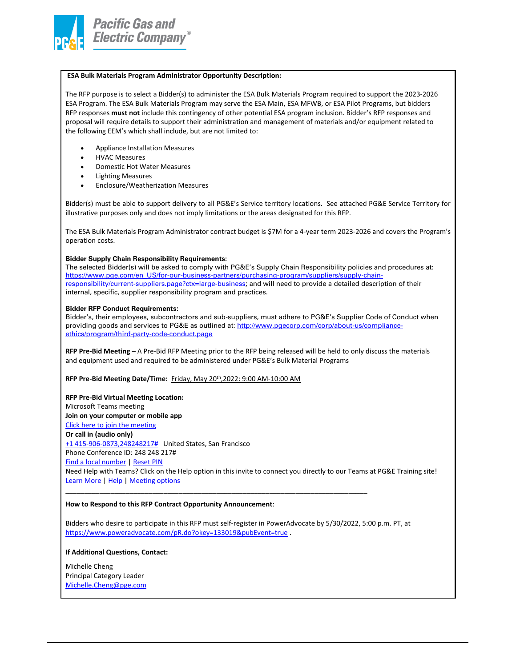

# **ESA Bulk Materials Program Administrator Opportunity Description:**

The RFP purpose is to select a Bidder(s) to administer the ESA Bulk Materials Program required to support the 2023-2026 ESA Program. The ESA Bulk Materials Program may serve the ESA Main, ESA MFWB, or ESA Pilot Programs, but bidders RFP responses **must not** include this contingency of other potential ESA program inclusion. Bidder's RFP responses and proposal will require details to support their administration and management of materials and/or equipment related to the following EEM's which shall include, but are not limited to:

- Appliance Installation Measures
- HVAC Measures
- Domestic Hot Water Measures
- Lighting Measures
- Enclosure/Weatherization Measures

Bidder(s) must be able to support delivery to all PG&E's Service territory locations. See attached PG&E Service Territory for illustrative purposes only and does not imply limitations or the areas designated for this RFP.

The ESA Bulk Materials Program Administrator contract budget is \$7M for a 4-year term 2023-2026 and covers the Program's operation costs.

#### **Bidder Supply Chain Responsibility Requirements:**

The selected Bidder(s) will be asked to comply with PG&E's Supply Chain Responsibility policies and procedures at: [https://www.pge.com/en\\_US/for-our-business-partners/purchasing-program/suppliers/supply-chain](https://www.pge.com/en_US/for-our-business-partners/purchasing-program/suppliers/supply-chain-responsibility/current-suppliers.page?ctx=large-business)[responsibility/current-suppliers.page?ctx=large-business;](https://www.pge.com/en_US/for-our-business-partners/purchasing-program/suppliers/supply-chain-responsibility/current-suppliers.page?ctx=large-business) and will need to provide a detailed description of their internal, specific, supplier responsibility program and practices.

#### **Bidder RFP Conduct Requirements:**

Bidder's, their employees, subcontractors and sub-suppliers, must adhere to PG&E's Supplier Code of Conduct when providing goods and services to PG&E as outlined at[: http://www.pgecorp.com/corp/about-us/compliance](http://www.pgecorp.com/corp/about-us/compliance-ethics/program/third-party-code-conduct.page)[ethics/program/third-party-code-conduct.page](http://www.pgecorp.com/corp/about-us/compliance-ethics/program/third-party-code-conduct.page)

**RFP Pre-Bid Meeting** – A Pre-Bid RFP Meeting prior to the RFP being released will be held to only discuss the materials and equipment used and required to be administered under PG&E's Bulk Material Programs

**RFP Pre-Bid Meeting Date/Time:** Friday, May 20th,2022: 9:00 AM-10:00 AM

### **RFP Pre-Bid Virtual Meeting Location:**

Microsoft Teams meeting **Join on your computer or mobile app**  [Click here to join the meeting](https://teams.microsoft.com/l/meetup-join/19%3ameeting_ZTFkNTE2MDMtNzdhNy00NzdmLWJlNTAtOTQ0MzFjMzY2NjM1%40thread.v2/0?context=%7b%22Tid%22%3a%2244ae661a-ece6-41aa-bc96-7c2c85a08941%22%2c%22Oid%22%3a%2221d38e40-4122-434c-a765-abd158f20978%22%7d) **Or call in (audio only)** [+1 415-906-0873,248248217#](tel:+14159060873,,248248217# ) United States, San Francisco Phone Conference ID: 248 248 217# [Find a local number](https://dialin.teams.microsoft.com/f67b92ca-d71f-42b6-8e87-03270c2d4bee?id=248248217) | [Reset PIN](https://mysettings.lync.com/pstnconferencing) Need Help with Teams? Click on the Help option in this invite to connect you directly to our Teams at PG&E Training site! [Learn More](https://aka.ms/JoinTeamsMeeting) [| Help](https://pge.sharepoint.com/sites/Office365Hub/SitePages/Teams-at-PG&E.aspx) [| Meeting options](https://teams.microsoft.com/meetingOptions/?organizerId=21d38e40-4122-434c-a765-abd158f20978&tenantId=44ae661a-ece6-41aa-bc96-7c2c85a08941&threadId=19_meeting_ZTFkNTE2MDMtNzdhNy00NzdmLWJlNTAtOTQ0MzFjMzY2NjM1@thread.v2&messageId=0&language=en-US) \_\_\_\_\_\_\_\_\_\_\_\_\_\_\_\_\_\_\_\_\_\_\_\_\_\_\_\_\_\_\_\_\_\_\_\_\_\_\_\_\_\_\_\_\_\_\_\_\_\_\_\_\_\_\_\_\_\_\_\_\_\_\_\_\_\_\_\_\_\_\_\_\_\_\_\_\_\_\_\_

#### **How to Respond to this RFP Contract Opportunity Announcement**:

Bidders who desire to participate in this RFP must self-register in PowerAdvocate by 5/30/2022, 5:00 p.m. PT, at <https://www.poweradvocate.com/pR.do?okey=133019&pubEvent=true> .

#### **If Additional Questions, Contact:**

Michelle Cheng Principal Category Leader [Michelle.Cheng@pge.com](mailto:Michelle.Cheng@pge.com)